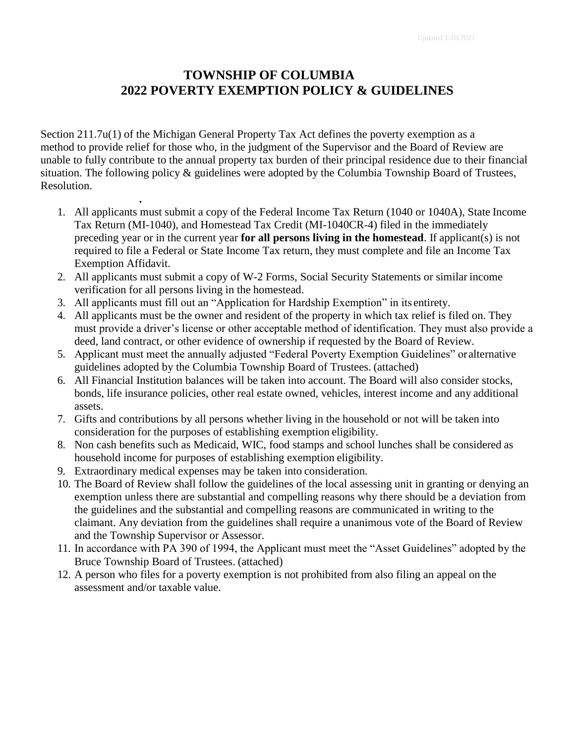# **TOWNSHIP OF COLUMBIA 2022 POVERTY EXEMPTION POLICY & GUIDELINES**

Section 211.7u(1) of the Michigan General Property Tax Act defines the poverty exemption as a method to provide relief for those who, in the judgment of the Supervisor and the Board of Review are unable to fully contribute to the annual property tax burden of their principal residence due to their financial situation. The following policy & guidelines were adopted by the Columbia Township Board of Trustees, Resolution.

- 1. All applicants must submit a copy of the Federal Income Tax Return (1040 or 1040A), State Income Tax Return (MI-1040), and Homestead Tax Credit (MI-1040CR-4) filed in the immediately preceding year or in the current year **for all persons living in the homestead**. If applicant(s) is not required to file a Federal or State Income Tax return, they must complete and file an Income Tax Exemption Affidavit.
- 2. All applicants must submit a copy of W-2 Forms, Social Security Statements or similar income verification for all persons living in the homestead.
- 3. All applicants must fill out an "Application for Hardship Exemption" in its entirety.
- 4. All applicants must be the owner and resident of the property in which tax relief is filed on. They must provide a driver's license or other acceptable method of identification. They must also provide a deed, land contract, or other evidence of ownership if requested by the Board of Review.
- 5. Applicant must meet the annually adjusted "Federal Poverty Exemption Guidelines" oralternative guidelines adopted by the Columbia Township Board of Trustees. (attached)
- 6. All Financial Institution balances will be taken into account. The Board will also consider stocks, bonds, life insurance policies, other real estate owned, vehicles, interest income and any additional assets.
- 7. Gifts and contributions by all persons whether living in the household or not will be taken into consideration for the purposes of establishing exemption eligibility.
- 8. Non cash benefits such as Medicaid, WIC, food stamps and school lunches shall be considered as household income for purposes of establishing exemption eligibility.
- 9. Extraordinary medical expenses may be taken into consideration.

**.**

- 10. The Board of Review shall follow the guidelines of the local assessing unit in granting or denying an exemption unless there are substantial and compelling reasons why there should be a deviation from the guidelines and the substantial and compelling reasons are communicated in writing to the claimant. Any deviation from the guidelines shall require a unanimous vote of the Board of Review and the Township Supervisor or Assessor.
- 11. In accordance with PA 390 of 1994, the Applicant must meet the "Asset Guidelines" adopted by the Bruce Township Board of Trustees. (attached)
- 12. A person who files for a poverty exemption is not prohibited from also filing an appeal on the assessment and/or taxable value.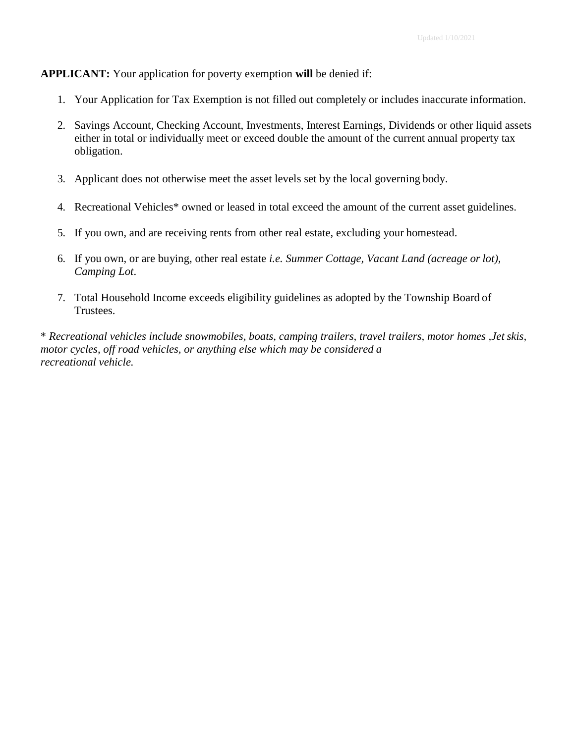#### **APPLICANT:** Your application for poverty exemption **will** be denied if:

- 1. Your Application for Tax Exemption is not filled out completely or includes inaccurate information.
- 2. Savings Account, Checking Account, Investments, Interest Earnings, Dividends or other liquid assets either in total or individually meet or exceed double the amount of the current annual property tax obligation.
- 3. Applicant does not otherwise meet the asset levels set by the local governing body.
- 4. Recreational Vehicles\* owned or leased in total exceed the amount of the current asset guidelines.
- 5. If you own, and are receiving rents from other real estate, excluding your homestead.
- 6. If you own, or are buying, other real estate *i.e. Summer Cottage, Vacant Land (acreage or lot), Camping Lot*.
- 7. Total Household Income exceeds eligibility guidelines as adopted by the Township Board of Trustees.

\* *Recreational vehicles include snowmobiles, boats, camping trailers, travel trailers, motor homes ,Jet skis, motor cycles, off road vehicles, or anything else which may be considered a recreational vehicle.*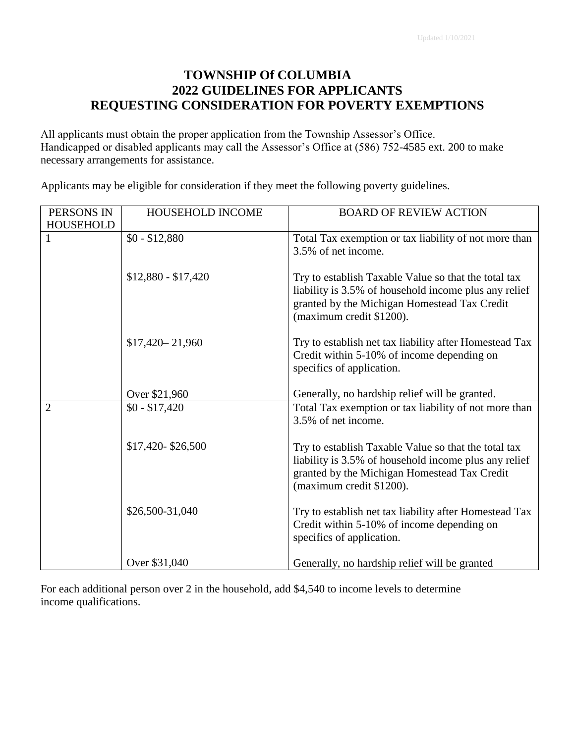### **TOWNSHIP Of COLUMBIA 2022 GUIDELINES FOR APPLICANTS REQUESTING CONSIDERATION FOR POVERTY EXEMPTIONS**

All applicants must obtain the proper application from the Township Assessor's Office. Handicapped or disabled applicants may call the Assessor's Office at (586) 752-4585 ext. 200 to make necessary arrangements for assistance.

Applicants may be eligible for consideration if they meet the following poverty guidelines.

| PERSONS IN       | HOUSEHOLD INCOME    | <b>BOARD OF REVIEW ACTION</b>                                                                                                                                                             |
|------------------|---------------------|-------------------------------------------------------------------------------------------------------------------------------------------------------------------------------------------|
| <b>HOUSEHOLD</b> |                     |                                                                                                                                                                                           |
| 1                | $$0 - $12,880$      | Total Tax exemption or tax liability of not more than<br>3.5% of net income.                                                                                                              |
|                  | $$12,880 - $17,420$ | Try to establish Taxable Value so that the total tax<br>liability is 3.5% of household income plus any relief<br>granted by the Michigan Homestead Tax Credit<br>(maximum credit \$1200). |
|                  | $$17,420 - 21,960$  | Try to establish net tax liability after Homestead Tax<br>Credit within 5-10% of income depending on<br>specifics of application.                                                         |
|                  | Over \$21,960       | Generally, no hardship relief will be granted.                                                                                                                                            |
| $\overline{2}$   | $$0 - $17,420$      | Total Tax exemption or tax liability of not more than<br>3.5% of net income.                                                                                                              |
|                  | \$17,420-\$26,500   | Try to establish Taxable Value so that the total tax<br>liability is 3.5% of household income plus any relief<br>granted by the Michigan Homestead Tax Credit<br>(maximum credit \$1200). |
|                  | \$26,500-31,040     | Try to establish net tax liability after Homestead Tax<br>Credit within 5-10% of income depending on<br>specifics of application.                                                         |
|                  | Over \$31,040       | Generally, no hardship relief will be granted                                                                                                                                             |

For each additional person over 2 in the household, add \$4,540 to income levels to determine income qualifications.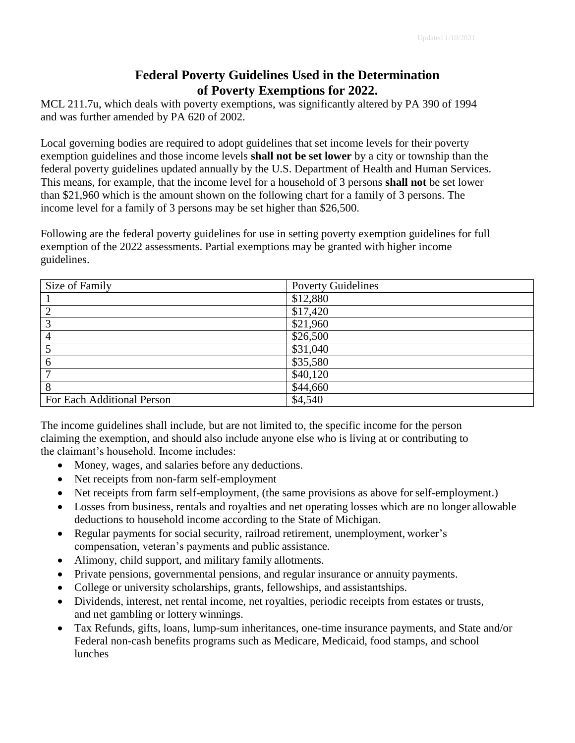#### **Federal Poverty Guidelines Used in the Determination of Poverty Exemptions for 2022.**

MCL 211.7u, which deals with poverty exemptions, was significantly altered by PA 390 of 1994 and was further amended by PA 620 of 2002.

Local governing bodies are required to adopt guidelines that set income levels for their poverty exemption guidelines and those income levels **shall not be set lower** by a city or township than the federal poverty guidelines updated annually by the U.S. Department of Health and Human Services. This means, for example, that the income level for a household of 3 persons **shall not** be set lower than \$21,960 which is the amount shown on the following chart for a family of 3 persons. The income level for a family of 3 persons may be set higher than \$26,500.

Following are the federal poverty guidelines for use in setting poverty exemption guidelines for full exemption of the 2022 assessments. Partial exemptions may be granted with higher income guidelines.

| Size of Family             | <b>Poverty Guidelines</b> |
|----------------------------|---------------------------|
|                            | \$12,880                  |
|                            | \$17,420                  |
| 2                          | \$21,960                  |
| 4                          | \$26,500                  |
|                            | \$31,040                  |
| 6                          | \$35,580                  |
|                            | \$40,120                  |
| 8                          | \$44,660                  |
| For Each Additional Person | \$4,540                   |

The income guidelines shall include, but are not limited to, the specific income for the person claiming the exemption, and should also include anyone else who is living at or contributing to the claimant's household. Income includes:

- Money, wages, and salaries before any deductions.
- Net receipts from non-farm self-employment
- Net receipts from farm self-employment, (the same provisions as above for self-employment.)
- Losses from business, rentals and royalties and net operating losses which are no longer allowable deductions to household income according to the State of Michigan.
- Regular payments for social security, railroad retirement, unemployment, worker's compensation, veteran's payments and public assistance.
- Alimony, child support, and military family allotments.
- Private pensions, governmental pensions, and regular insurance or annuity payments.
- College or university scholarships, grants, fellowships, and assistantships.
- Dividends, interest, net rental income, net royalties, periodic receipts from estates or trusts, and net gambling or lottery winnings.
- Tax Refunds, gifts, loans, lump-sum inheritances, one-time insurance payments, and State and/or Federal non-cash benefits programs such as Medicare, Medicaid, food stamps, and school lunches